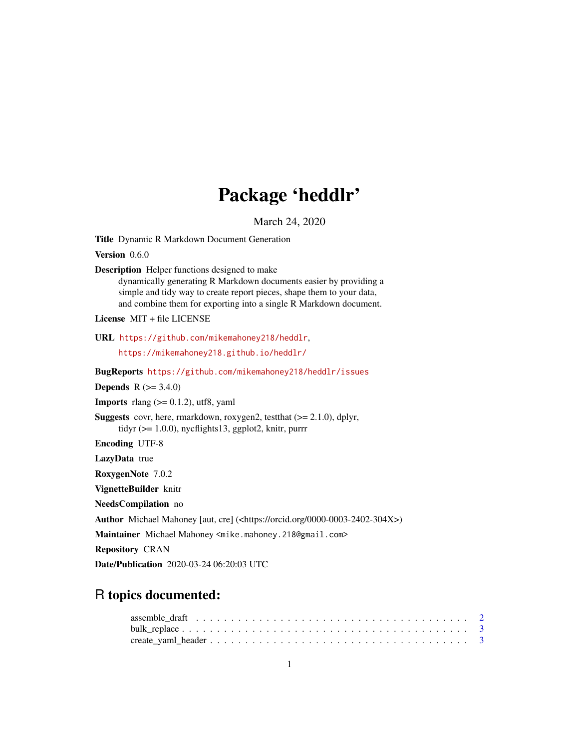# Package 'heddlr'

March 24, 2020

<span id="page-0-0"></span>Title Dynamic R Markdown Document Generation

Version 0.6.0

Description Helper functions designed to make

dynamically generating R Markdown documents easier by providing a simple and tidy way to create report pieces, shape them to your data, and combine them for exporting into a single R Markdown document.

License MIT + file LICENSE

URL <https://github.com/mikemahoney218/heddlr>,

<https://mikemahoney218.github.io/heddlr/>

BugReports <https://github.com/mikemahoney218/heddlr/issues>

**Depends** R  $(>= 3.4.0)$ 

**Imports** rlang  $(>= 0.1.2)$ , utf8, yaml

Suggests covr, here, rmarkdown, roxygen2, testthat (>= 2.1.0), dplyr, tidyr (>= 1.0.0), nycflights13, ggplot2, knitr, purrr

Encoding UTF-8

LazyData true

RoxygenNote 7.0.2

VignetteBuilder knitr

NeedsCompilation no

Author Michael Mahoney [aut, cre] (<https://orcid.org/0000-0003-2402-304X>)

Maintainer Michael Mahoney <mike.mahoney.218@gmail.com>

Repository CRAN

Date/Publication 2020-03-24 06:20:03 UTC

# R topics documented: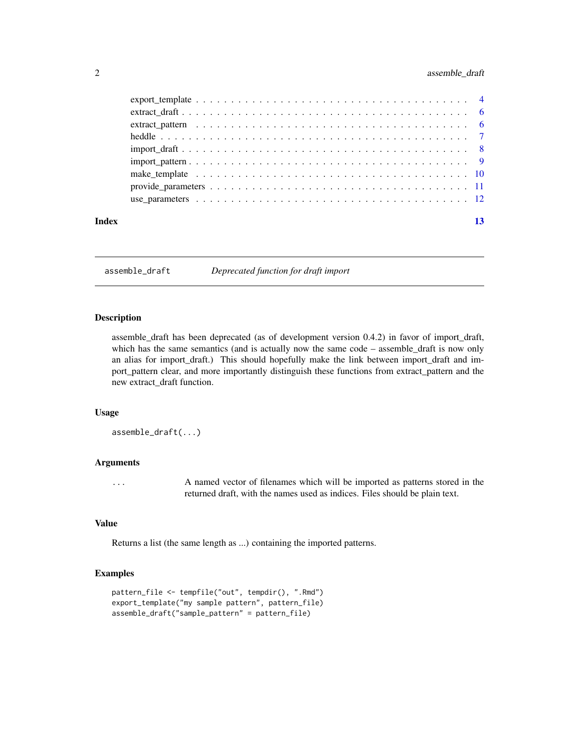# <span id="page-1-0"></span>2 assemble\_draft

| Index | 13 |
|-------|----|

assemble\_draft *Deprecated function for draft import*

# Description

assemble\_draft has been deprecated (as of development version 0.4.2) in favor of import\_draft, which has the same semantics (and is actually now the same code – assemble\_draft is now only an alias for import\_draft.) This should hopefully make the link between import\_draft and import\_pattern clear, and more importantly distinguish these functions from extract\_pattern and the new extract\_draft function.

#### Usage

assemble\_draft(...)

# Arguments

... A named vector of filenames which will be imported as patterns stored in the returned draft, with the names used as indices. Files should be plain text.

#### Value

Returns a list (the same length as ...) containing the imported patterns.

```
pattern_file <- tempfile("out", tempdir(), ".Rmd")
export_template("my sample pattern", pattern_file)
assemble_draft("sample_pattern" = pattern_file)
```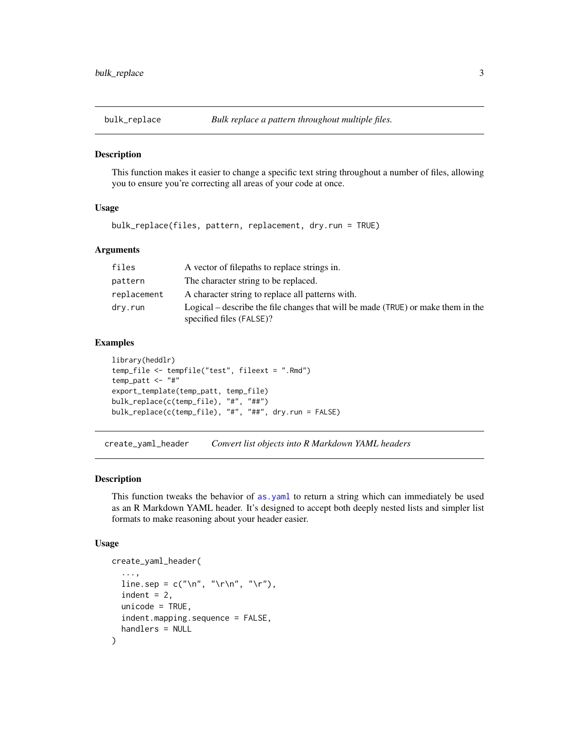<span id="page-2-0"></span>

This function makes it easier to change a specific text string throughout a number of files, allowing you to ensure you're correcting all areas of your code at once.

# Usage

bulk\_replace(files, pattern, replacement, dry.run = TRUE)

# Arguments

| files       | A vector of filepaths to replace strings in.                                                                 |
|-------------|--------------------------------------------------------------------------------------------------------------|
| pattern     | The character string to be replaced.                                                                         |
| replacement | A character string to replace all patterns with.                                                             |
| dry.run     | Logical – describe the file changes that will be made (TRUE) or make them in the<br>specified files (FALSE)? |

# Examples

```
library(heddlr)
temp_file <- tempfile("test", fileext = ".Rmd")
temp_patt \leq - "#"
export_template(temp_patt, temp_file)
bulk_replace(c(temp_file), "#", "##")
bulk_replace(c(temp_file), "#", "##", dry.run = FALSE)
```
<span id="page-2-1"></span>create\_yaml\_header *Convert list objects into R Markdown YAML headers*

#### Description

This function tweaks the behavior of [as.yaml](#page-0-0) to return a string which can immediately be used as an R Markdown YAML header. It's designed to accept both deeply nested lists and simpler list formats to make reasoning about your header easier.

# Usage

```
create_yaml_header(
  ...,
  line.sep = c("n", "r\n', "r","),
  indent = 2,
 unicode = TRUE,indent.mapping.sequence = FALSE,
  handlers = NULL
)
```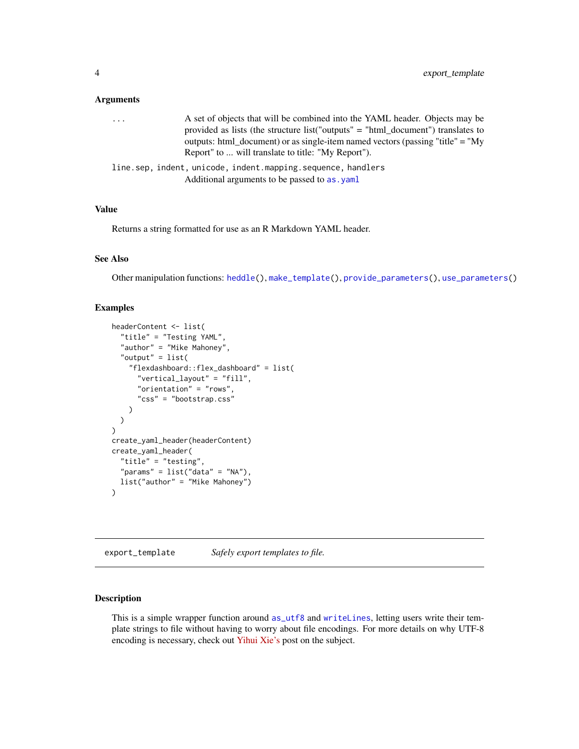#### <span id="page-3-0"></span>**Arguments**

| $\cdots$ | A set of objects that will be combined into the YAML header. Objects may be        |
|----------|------------------------------------------------------------------------------------|
|          | provided as lists (the structure list "outputs" $=$ "html document") translates to |
|          | outputs: html_document) or as single-item named vectors (passing "title" = "My     |
|          | Report" to  will translate to title: "My Report").                                 |
|          | line.sep, indent, unicode, indent.mapping.sequence, handlers                       |
|          | Additional arguments to be passed to as . yaml                                     |

### Value

Returns a string formatted for use as an R Markdown YAML header.

#### See Also

Other manipulation functions: [heddle\(](#page-6-1)), [make\\_template\(](#page-9-1)), [provide\\_parameters\(](#page-10-1)), [use\\_parameters\(](#page-11-1))

# Examples

```
headerContent <- list(
  "title" = "Testing YAML",
  "author" = "Mike Mahoney",
  "output" = list(
    "flexdashboard::flex_dashboard" = list(
      "vertical_layout" = "fill",
      "orientation" = "rows",
      "css" = "bootstrap.css"
    )
 )
\lambdacreate_yaml_header(headerContent)
create_yaml_header(
  "title" = "testing",
  "params" = list("data" = "NA"),
  list("author" = "Mike Mahoney")
\mathcal{L}
```
export\_template *Safely export templates to file.*

# Description

This is a simple wrapper function around [as\\_utf8](#page-0-0) and [writeLines](#page-0-0), letting users write their template strings to file without having to worry about file encodings. For more details on why UTF-8 encoding is necessary, check out [Yihui Xie's](https://yihui.org/en/2018/11/biggest-regret-knitr/) post on the subject.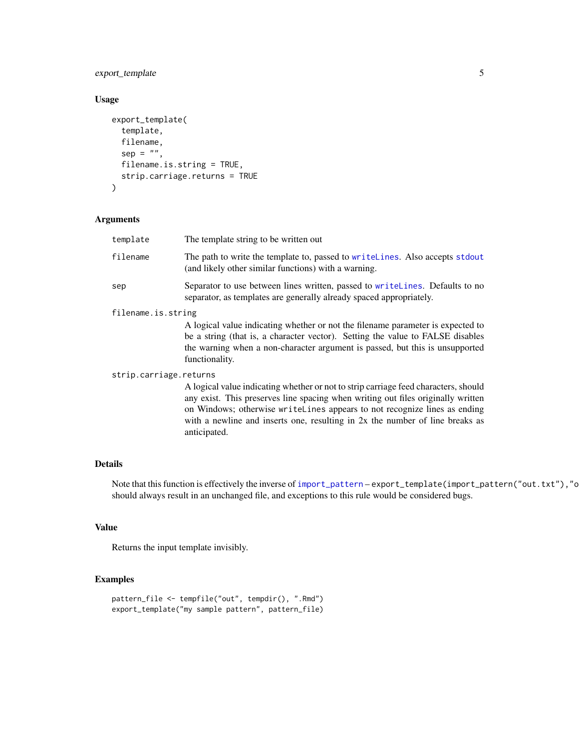# <span id="page-4-0"></span>export\_template 5

# Usage

```
export_template(
  template,
  filename,
  sep = "",filename.is.string = TRUE,
  strip.carriage.returns = TRUE
\mathcal{L}
```
# Arguments

| template               | The template string to be written out                                                                                                                                                                                                                                                                                                |
|------------------------|--------------------------------------------------------------------------------------------------------------------------------------------------------------------------------------------------------------------------------------------------------------------------------------------------------------------------------------|
| filename               | The path to write the template to, passed to writellines. Also accepts stdout<br>(and likely other similar functions) with a warning.                                                                                                                                                                                                |
| sep                    | Separator to use between lines written, passed to writellines. Defaults to no<br>separator, as templates are generally already spaced appropriately.                                                                                                                                                                                 |
| filename.is.string     |                                                                                                                                                                                                                                                                                                                                      |
|                        | A logical value indicating whether or not the filename parameter is expected to<br>be a string (that is, a character vector). Setting the value to FALSE disables<br>the warning when a non-character argument is passed, but this is unsupported<br>functionality.                                                                  |
| strip.carriage.returns |                                                                                                                                                                                                                                                                                                                                      |
|                        | A logical value indicating whether or not to strip carriage feed characters, should<br>any exist. This preserves line spacing when writing out files originally written<br>on Windows; otherwise writeLines appears to not recognize lines as ending<br>with a newline and inserts one, resulting in 2x the number of line breaks as |

# Details

Note that this function is effectively the inverse of [import\\_pattern](#page-8-1) – export\_template(import\_pattern("out.txt"),"o should always result in an unchanged file, and exceptions to this rule would be considered bugs.

# Value

Returns the input template invisibly.

# Examples

```
pattern_file <- tempfile("out", tempdir(), ".Rmd")
export_template("my sample pattern", pattern_file)
```
anticipated.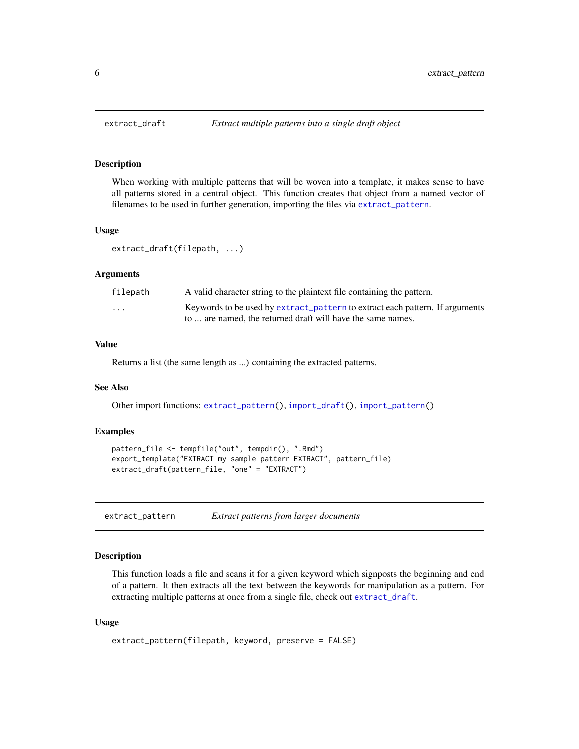When working with multiple patterns that will be woven into a template, it makes sense to have all patterns stored in a central object. This function creates that object from a named vector of filenames to be used in further generation, importing the files via [extract\\_pattern](#page-5-1).

#### Usage

extract\_draft(filepath, ...)

# Arguments

| filepath                | A valid character string to the plaintext file containing the pattern.       |
|-------------------------|------------------------------------------------------------------------------|
| $\cdot$ $\cdot$ $\cdot$ | Keywords to be used by extract_pattern to extract each pattern. If arguments |
|                         | to  are named, the returned draft will have the same names.                  |

#### Value

Returns a list (the same length as ...) containing the extracted patterns.

# See Also

Other import functions: [extract\\_pattern\(](#page-5-1)), [import\\_draft\(](#page-7-1)), [import\\_pattern\(](#page-8-1))

#### Examples

```
pattern_file <- tempfile("out", tempdir(), ".Rmd")
export_template("EXTRACT my sample pattern EXTRACT", pattern_file)
extract_draft(pattern_file, "one" = "EXTRACT")
```
<span id="page-5-1"></span>extract\_pattern *Extract patterns from larger documents*

# **Description**

This function loads a file and scans it for a given keyword which signposts the beginning and end of a pattern. It then extracts all the text between the keywords for manipulation as a pattern. For extracting multiple patterns at once from a single file, check out [extract\\_draft](#page-5-2).

#### Usage

```
extract_pattern(filepath, keyword, preserve = FALSE)
```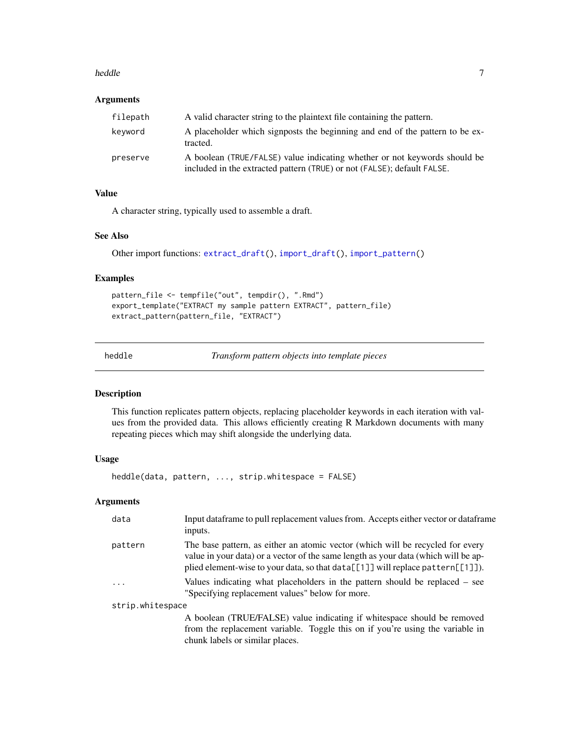#### <span id="page-6-0"></span>heddle **7** and 7 and 7 and 7 and 7 and 7 and 7 and 7 and 7 and 7 and 7 and 7 and 7 and 7 and 7 and 7 and 7 and 7 and 7 and 7 and 7 and 7 and 7 and 7 and 7 and 7 and 7 and 7 and 7 and 7 and 7 and 7 and 7 and 7 and 7 and 7 a

#### Arguments

| filepath | A valid character string to the plaintext file containing the pattern.                                                                               |
|----------|------------------------------------------------------------------------------------------------------------------------------------------------------|
| keyword  | A placeholder which signposts the beginning and end of the pattern to be ex-<br>tracted.                                                             |
| preserve | A boolean (TRUE/FALSE) value indicating whether or not keywords should be<br>included in the extracted pattern (TRUE) or not (FALSE); default FALSE. |

# Value

A character string, typically used to assemble a draft.

# See Also

Other import functions: [extract\\_draft\(](#page-5-2)), [import\\_draft\(](#page-7-1)), [import\\_pattern\(](#page-8-1))

### Examples

```
pattern_file <- tempfile("out", tempdir(), ".Rmd")
export_template("EXTRACT my sample pattern EXTRACT", pattern_file)
extract_pattern(pattern_file, "EXTRACT")
```
<span id="page-6-1"></span>

heddle *Transform pattern objects into template pieces*

#### Description

This function replicates pattern objects, replacing placeholder keywords in each iteration with values from the provided data. This allows efficiently creating R Markdown documents with many repeating pieces which may shift alongside the underlying data.

# Usage

```
heddle(data, pattern, ..., strip.whitespace = FALSE)
```
#### Arguments

| data             | Input dataframe to pull replacement values from. Accepts either vector or dataframe<br>inputs.                                                                                                                                                         |
|------------------|--------------------------------------------------------------------------------------------------------------------------------------------------------------------------------------------------------------------------------------------------------|
| pattern          | The base pattern, as either an atomic vector (which will be recycled for every<br>value in your data) or a vector of the same length as your data (which will be ap-<br>plied element-wise to your data, so that data[[1]] will replace pattern[[1]]). |
| $\ddots$         | Values indicating what placeholders in the pattern should be replaced $-$ see<br>"Specifying replacement values" below for more.                                                                                                                       |
| strip.whitespace |                                                                                                                                                                                                                                                        |
|                  | A boolean (TRUE/FALSE) value indicating if whitespace should be removed<br>from the replacement variable. Toggle this on if you're using the variable in                                                                                               |

chunk labels or similar places.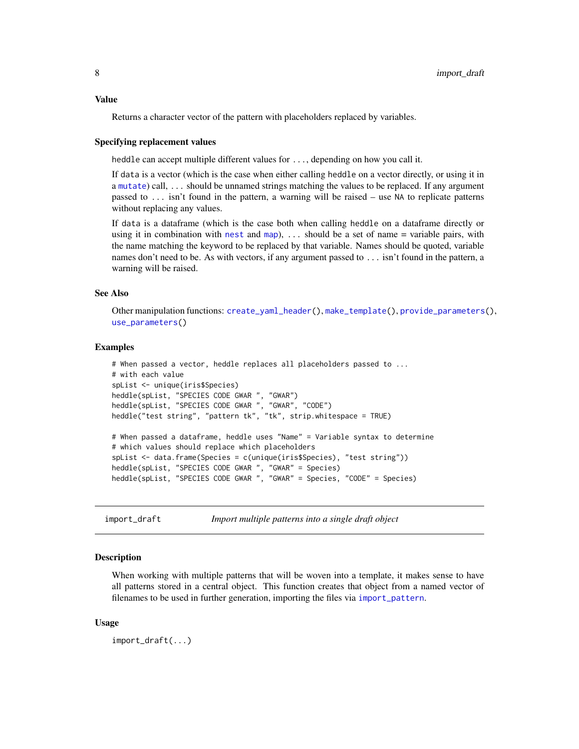#### <span id="page-7-0"></span>Value

Returns a character vector of the pattern with placeholders replaced by variables.

#### Specifying replacement values

heddle can accept multiple different values for ..., depending on how you call it.

If data is a vector (which is the case when either calling heddle on a vector directly, or using it in a [mutate](#page-0-0)) call, ... should be unnamed strings matching the values to be replaced. If any argument passed to ... isn't found in the pattern, a warning will be raised – use NA to replicate patterns without replacing any values.

If data is a dataframe (which is the case both when calling heddle on a dataframe directly or using it in combination with [nest](#page-0-0) and [map](#page-0-0)), ... should be a set of name = variable pairs, with the name matching the keyword to be replaced by that variable. Names should be quoted, variable names don't need to be. As with vectors, if any argument passed to ... isn't found in the pattern, a warning will be raised.

#### See Also

Other manipulation functions: [create\\_yaml\\_header\(](#page-2-1)), [make\\_template\(](#page-9-1)), [provide\\_parameters\(](#page-10-1)), [use\\_parameters\(](#page-11-1))

#### Examples

```
# When passed a vector, heddle replaces all placeholders passed to ...
# with each value
spList <- unique(iris$Species)
heddle(spList, "SPECIES CODE GWAR ", "GWAR")
heddle(spList, "SPECIES CODE GWAR ", "GWAR", "CODE")
heddle("test string", "pattern tk", "tk", strip.whitespace = TRUE)
# When passed a dataframe, heddle uses "Name" = Variable syntax to determine
# which values should replace which placeholders
spList <- data.frame(Species = c(unique(iris$Species), "test string"))
heddle(spList, "SPECIES CODE GWAR ", "GWAR" = Species)
heddle(spList, "SPECIES CODE GWAR ", "GWAR" = Species, "CODE" = Species)
```
<span id="page-7-1"></span>import\_draft *Import multiple patterns into a single draft object*

#### Description

When working with multiple patterns that will be woven into a template, it makes sense to have all patterns stored in a central object. This function creates that object from a named vector of filenames to be used in further generation, importing the files via [import\\_pattern](#page-8-1).

#### Usage

import\_draft(...)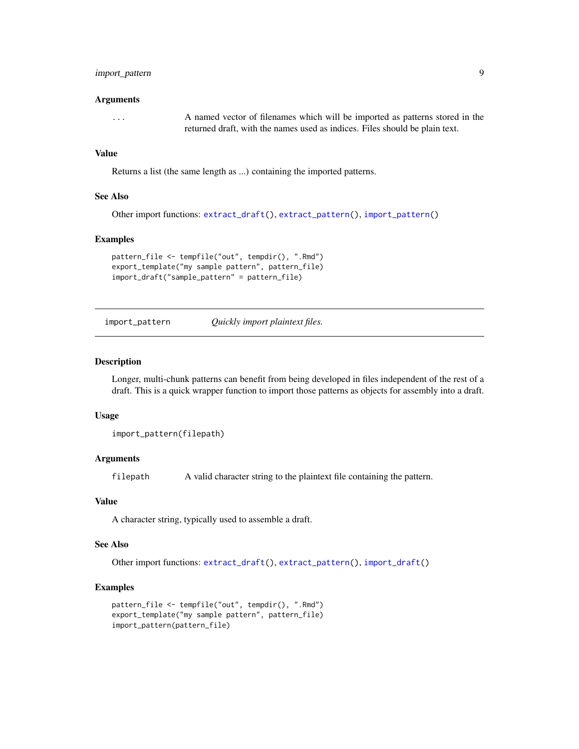# <span id="page-8-0"></span>import\_pattern 9

#### Arguments

... A named vector of filenames which will be imported as patterns stored in the returned draft, with the names used as indices. Files should be plain text.

#### Value

Returns a list (the same length as ...) containing the imported patterns.

#### See Also

```
Other import functions: extract_draft(), extract_pattern(), import_pattern()
```
#### Examples

```
pattern_file <- tempfile("out", tempdir(), ".Rmd")
export_template("my sample pattern", pattern_file)
import_draft("sample_pattern" = pattern_file)
```
<span id="page-8-1"></span>import\_pattern *Quickly import plaintext files.*

#### Description

Longer, multi-chunk patterns can benefit from being developed in files independent of the rest of a draft. This is a quick wrapper function to import those patterns as objects for assembly into a draft.

#### Usage

import\_pattern(filepath)

# Arguments

filepath A valid character string to the plaintext file containing the pattern.

#### Value

A character string, typically used to assemble a draft.

#### See Also

Other import functions: [extract\\_draft\(](#page-5-2)), [extract\\_pattern\(](#page-5-1)), [import\\_draft\(](#page-7-1))

```
pattern_file <- tempfile("out", tempdir(), ".Rmd")
export_template("my sample pattern", pattern_file)
import_pattern(pattern_file)
```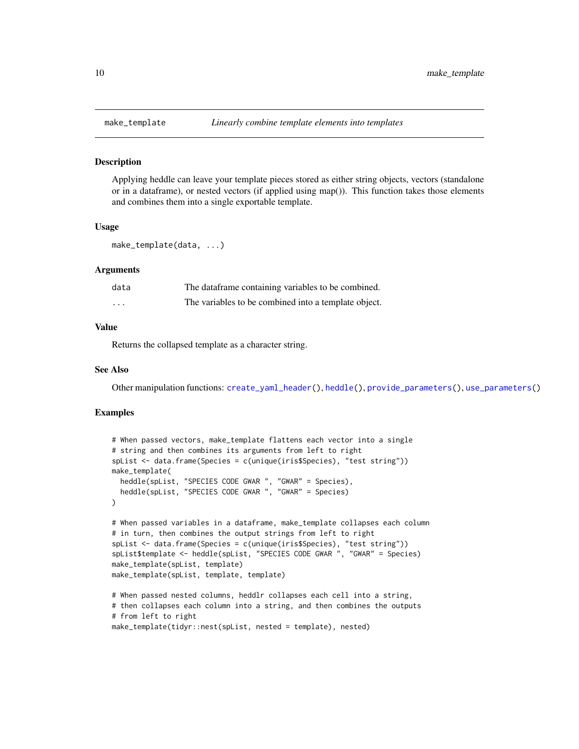<span id="page-9-1"></span><span id="page-9-0"></span>

Applying heddle can leave your template pieces stored as either string objects, vectors (standalone or in a dataframe), or nested vectors (if applied using map()). This function takes those elements and combines them into a single exportable template.

#### Usage

```
make_template(data, ...)
```
# Arguments

| data     | The dataframe containing variables to be combined.   |
|----------|------------------------------------------------------|
| $\cdots$ | The variables to be combined into a template object. |

# Value

Returns the collapsed template as a character string.

# See Also

Other manipulation functions: [create\\_yaml\\_header\(](#page-2-1)), [heddle\(](#page-6-1)), [provide\\_parameters\(](#page-10-1)), [use\\_parameters\(](#page-11-1))

```
# When passed vectors, make_template flattens each vector into a single
# string and then combines its arguments from left to right
spList <- data.frame(Species = c(unique(iris$Species), "test string"))
make_template(
  heddle(spList, "SPECIES CODE GWAR ", "GWAR" = Species),
  heddle(spList, "SPECIES CODE GWAR ", "GWAR" = Species)
)
# When passed variables in a dataframe, make_template collapses each column
# in turn, then combines the output strings from left to right
spList <- data.frame(Species = c(unique(iris$Species), "test string"))
spList$template <- heddle(spList, "SPECIES CODE GWAR ", "GWAR" = Species)
make_template(spList, template)
make_template(spList, template, template)
# When passed nested columns, heddlr collapses each cell into a string,
# then collapses each column into a string, and then combines the outputs
# from left to right
make_template(tidyr::nest(spList, nested = template), nested)
```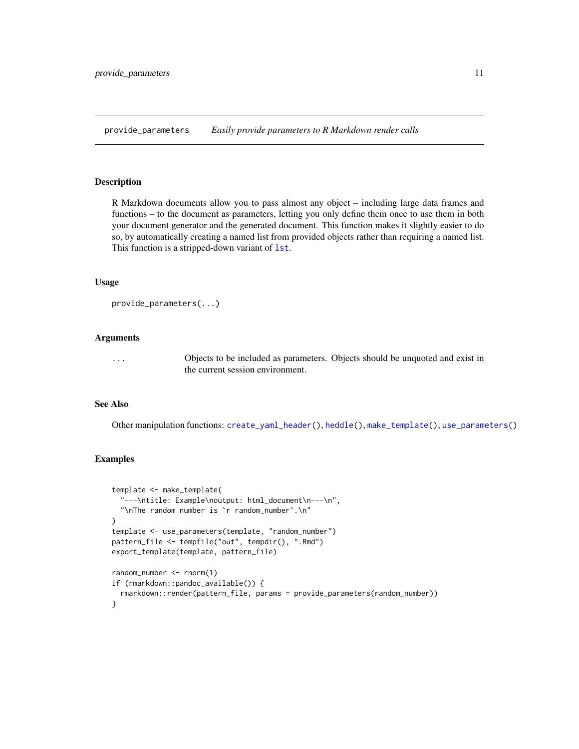<span id="page-10-1"></span><span id="page-10-0"></span>provide\_parameters *Easily provide parameters to R Markdown render calls*

#### Description

R Markdown documents allow you to pass almost any object – including large data frames and functions – to the document as parameters, letting you only define them once to use them in both your document generator and the generated document. This function makes it slightly easier to do so, by automatically creating a named list from provided objects rather than requiring a named list. This function is a stripped-down variant of [lst](#page-0-0).

#### Usage

```
provide_parameters(...)
```
# Arguments

... Objects to be included as parameters. Objects should be unquoted and exist in the current session environment.

#### See Also

Other manipulation functions: [create\\_yaml\\_header\(](#page-2-1)), [heddle\(](#page-6-1)), [make\\_template\(](#page-9-1)), [use\\_parameters\(](#page-11-1))

```
template <- make_template(
  "---\ntitle: Example\noutput: html_document\n---\n",
  "\nThe random number is `r random_number`.\n"
\lambdatemplate <- use_parameters(template, "random_number")
pattern_file <- tempfile("out", tempdir(), ".Rmd")
export_template(template, pattern_file)
random_number <- rnorm(1)
if (rmarkdown::pandoc_available()) {
 rmarkdown::render(pattern_file, params = provide_parameters(random_number))
}
```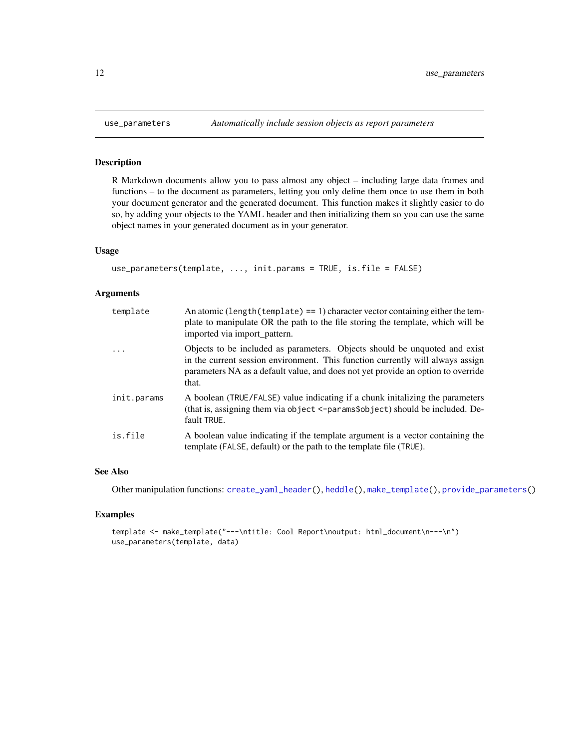R Markdown documents allow you to pass almost any object – including large data frames and functions – to the document as parameters, letting you only define them once to use them in both your document generator and the generated document. This function makes it slightly easier to do so, by adding your objects to the YAML header and then initializing them so you can use the same object names in your generated document as in your generator.

# Usage

```
use_parameters(template, ..., init.params = TRUE, is.file = FALSE)
```
#### Arguments

| template    | An atomic (length (template) == 1) character vector containing either the tem-<br>plate to manipulate OR the path to the file storing the template, which will be<br>imported via import_pattern.                                                         |
|-------------|-----------------------------------------------------------------------------------------------------------------------------------------------------------------------------------------------------------------------------------------------------------|
| $\cdots$    | Objects to be included as parameters. Objects should be unquoted and exist<br>in the current session environment. This function currently will always assign<br>parameters NA as a default value, and does not yet provide an option to override<br>that. |
| init.params | A boolean (TRUE/FALSE) value indicating if a chunk initializing the parameters<br>(that is, assigning them via object <-params\$object) should be included. De-<br>fault TRUE.                                                                            |
| is.file     | A boolean value indicating if the template argument is a vector containing the<br>template (FALSE, default) or the path to the template file (TRUE).                                                                                                      |

#### See Also

Other manipulation functions: [create\\_yaml\\_header\(](#page-2-1)), [heddle\(](#page-6-1)), [make\\_template\(](#page-9-1)), [provide\\_parameters\(](#page-10-1))

```
template <- make_template("---\ntitle: Cool Report\noutput: html_document\n---\n")
use_parameters(template, data)
```